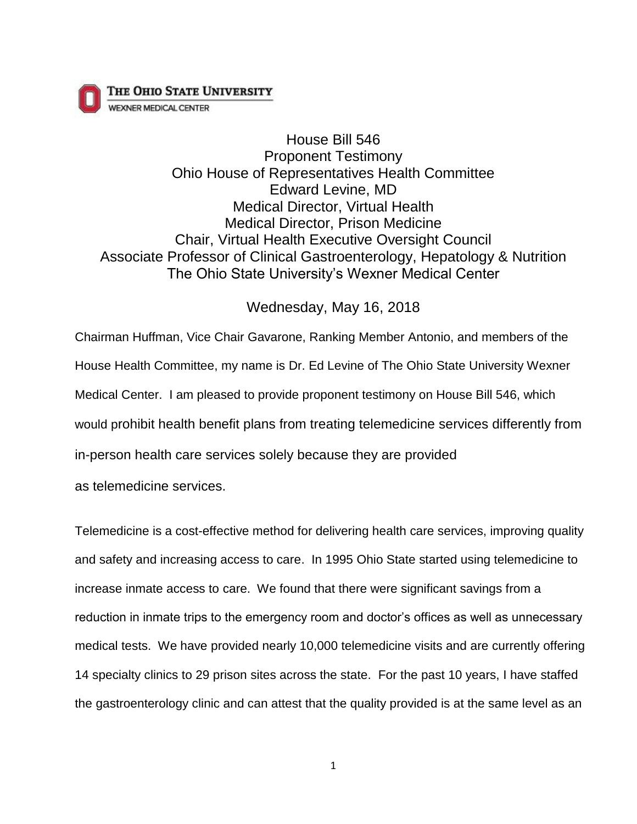THE OHIO STATE UNIVERSITY



House Bill 546 Proponent Testimony Ohio House of Representatives Health Committee Edward Levine, MD Medical Director, Virtual Health Medical Director, Prison Medicine Chair, Virtual Health Executive Oversight Council Associate Professor of Clinical Gastroenterology, Hepatology & Nutrition The Ohio State University's Wexner Medical Center

## Wednesday, May 16, 2018

Chairman Huffman, Vice Chair Gavarone, Ranking Member Antonio, and members of the House Health Committee, my name is Dr. Ed Levine of The Ohio State University Wexner Medical Center. I am pleased to provide proponent testimony on House Bill 546, which would prohibit health benefit plans from treating telemedicine services differently from in-person health care services solely because they are provided

as telemedicine services.

Telemedicine is a cost-effective method for delivering health care services, improving quality and safety and increasing access to care. In 1995 Ohio State started using telemedicine to increase inmate access to care. We found that there were significant savings from a reduction in inmate trips to the emergency room and doctor's offices as well as unnecessary medical tests. We have provided nearly 10,000 telemedicine visits and are currently offering 14 specialty clinics to 29 prison sites across the state. For the past 10 years, I have staffed the gastroenterology clinic and can attest that the quality provided is at the same level as an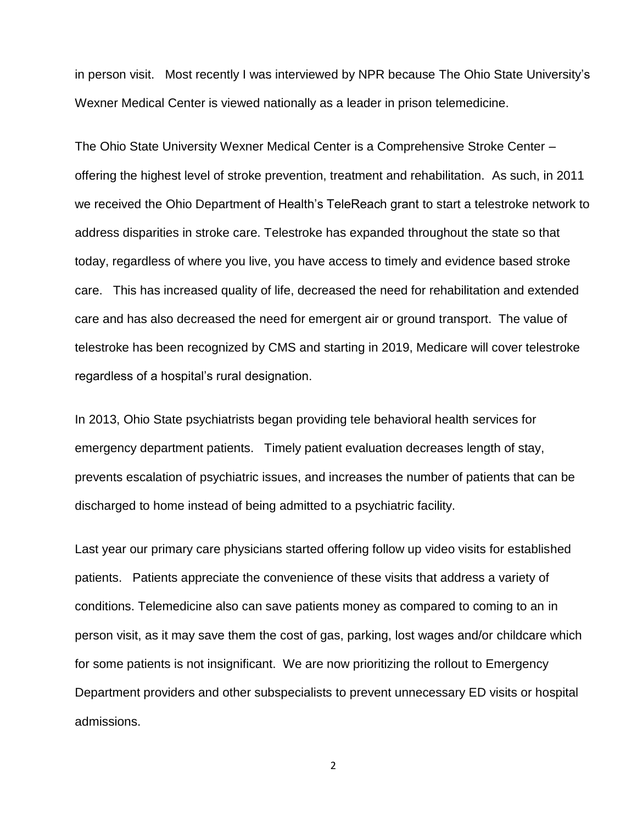in person visit. Most recently I was interviewed by NPR because The Ohio State University's Wexner Medical Center is viewed nationally as a leader in prison telemedicine.

The Ohio State University Wexner Medical Center is a Comprehensive Stroke Center – offering the highest level of stroke prevention, treatment and rehabilitation. As such, in 2011 we received the Ohio Department of Health's TeleReach grant to start a telestroke network to address disparities in stroke care. Telestroke has expanded throughout the state so that today, regardless of where you live, you have access to timely and evidence based stroke care. This has increased quality of life, decreased the need for rehabilitation and extended care and has also decreased the need for emergent air or ground transport. The value of telestroke has been recognized by CMS and starting in 2019, Medicare will cover telestroke regardless of a hospital's rural designation.

In 2013, Ohio State psychiatrists began providing tele behavioral health services for emergency department patients. Timely patient evaluation decreases length of stay, prevents escalation of psychiatric issues, and increases the number of patients that can be discharged to home instead of being admitted to a psychiatric facility.

Last year our primary care physicians started offering follow up video visits for established patients. Patients appreciate the convenience of these visits that address a variety of conditions. Telemedicine also can save patients money as compared to coming to an in person visit, as it may save them the cost of gas, parking, lost wages and/or childcare which for some patients is not insignificant. We are now prioritizing the rollout to Emergency Department providers and other subspecialists to prevent unnecessary ED visits or hospital admissions.

2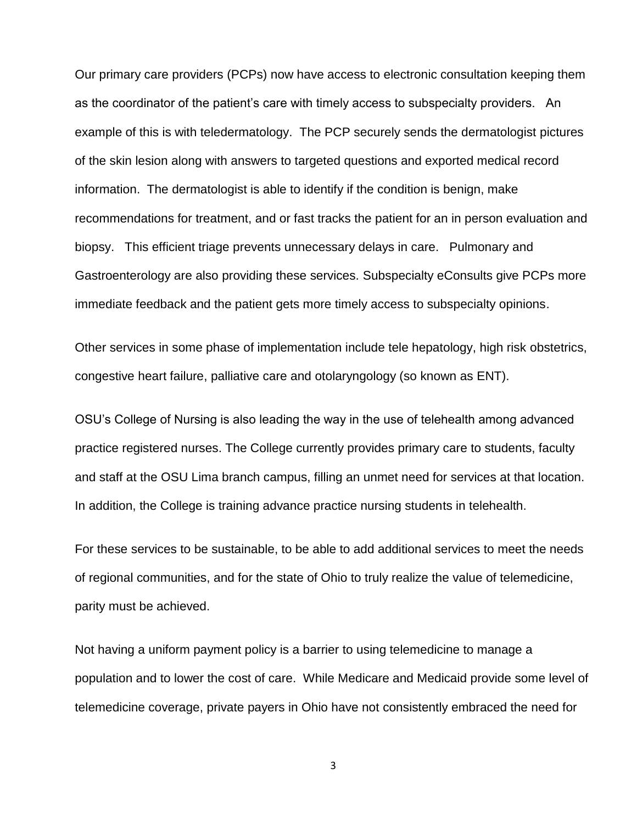Our primary care providers (PCPs) now have access to electronic consultation keeping them as the coordinator of the patient's care with timely access to subspecialty providers. An example of this is with teledermatology. The PCP securely sends the dermatologist pictures of the skin lesion along with answers to targeted questions and exported medical record information. The dermatologist is able to identify if the condition is benign, make recommendations for treatment, and or fast tracks the patient for an in person evaluation and biopsy. This efficient triage prevents unnecessary delays in care. Pulmonary and Gastroenterology are also providing these services. Subspecialty eConsults give PCPs more immediate feedback and the patient gets more timely access to subspecialty opinions.

Other services in some phase of implementation include tele hepatology, high risk obstetrics, congestive heart failure, palliative care and otolaryngology (so known as ENT).

OSU's College of Nursing is also leading the way in the use of telehealth among advanced practice registered nurses. The College currently provides primary care to students, faculty and staff at the OSU Lima branch campus, filling an unmet need for services at that location. In addition, the College is training advance practice nursing students in telehealth.

For these services to be sustainable, to be able to add additional services to meet the needs of regional communities, and for the state of Ohio to truly realize the value of telemedicine, parity must be achieved.

Not having a uniform payment policy is a barrier to using telemedicine to manage a population and to lower the cost of care. While Medicare and Medicaid provide some level of telemedicine coverage, private payers in Ohio have not consistently embraced the need for

3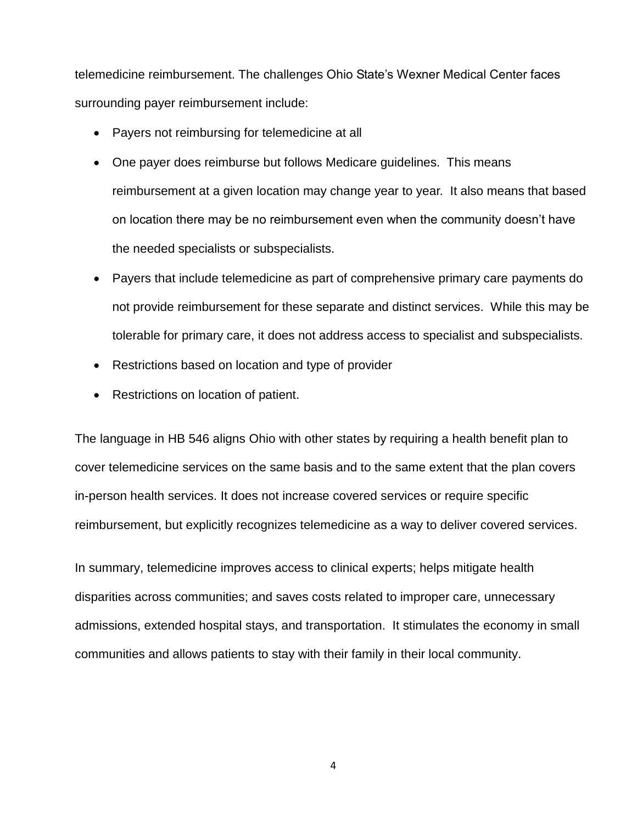telemedicine reimbursement. The challenges Ohio State's Wexner Medical Center faces surrounding payer reimbursement include:

- Payers not reimbursing for telemedicine at all
- One payer does reimburse but follows Medicare guidelines. This means reimbursement at a given location may change year to year. It also means that based on location there may be no reimbursement even when the community doesn't have the needed specialists or subspecialists.
- Payers that include telemedicine as part of comprehensive primary care payments do not provide reimbursement for these separate and distinct services. While this may be tolerable for primary care, it does not address access to specialist and subspecialists.
- Restrictions based on location and type of provider
- Restrictions on location of patient.

The language in HB 546 aligns Ohio with other states by requiring a health benefit plan to cover telemedicine services on the same basis and to the same extent that the plan covers in-person health services. It does not increase covered services or require specific reimbursement, but explicitly recognizes telemedicine as a way to deliver covered services.

In summary, telemedicine improves access to clinical experts; helps mitigate health disparities across communities; and saves costs related to improper care, unnecessary admissions, extended hospital stays, and transportation. It stimulates the economy in small communities and allows patients to stay with their family in their local community.